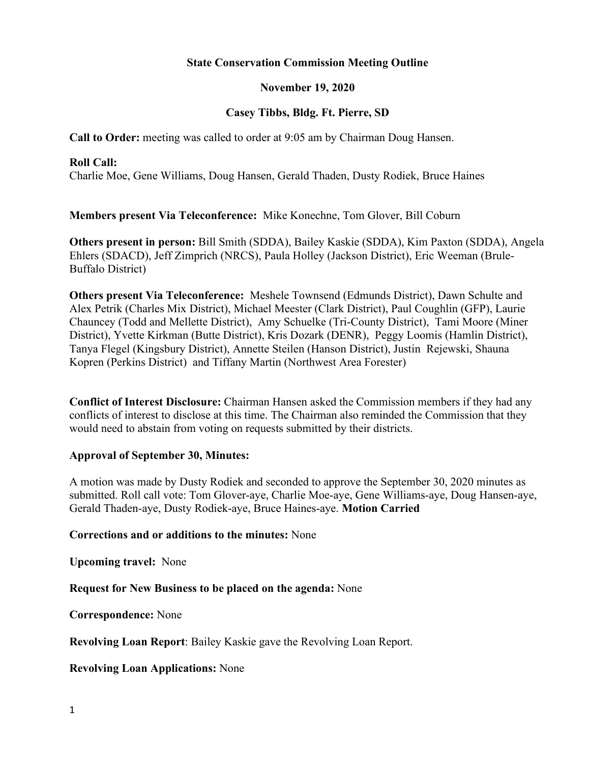## **State Conservation Commission Meeting Outline**

### **November 19, 2020**

# **Casey Tibbs, Bldg. Ft. Pierre, SD**

**Call to Order:** meeting was called to order at 9:05 am by Chairman Doug Hansen.

### **Roll Call:**

Charlie Moe, Gene Williams, Doug Hansen, Gerald Thaden, Dusty Rodiek, Bruce Haines

**Members present Via Teleconference:** Mike Konechne, Tom Glover, Bill Coburn

**Others present in person:** Bill Smith (SDDA), Bailey Kaskie (SDDA), Kim Paxton (SDDA), Angela Ehlers (SDACD), Jeff Zimprich (NRCS), Paula Holley (Jackson District), Eric Weeman (Brule-Buffalo District)

**Others present Via Teleconference:** Meshele Townsend (Edmunds District), Dawn Schulte and Alex Petrik (Charles Mix District), Michael Meester (Clark District), Paul Coughlin (GFP), Laurie Chauncey (Todd and Mellette District), Amy Schuelke (Tri-County District), Tami Moore (Miner District), Yvette Kirkman (Butte District), Kris Dozark (DENR), Peggy Loomis (Hamlin District), Tanya Flegel (Kingsbury District), Annette Steilen (Hanson District), Justin Rejewski, Shauna Kopren (Perkins District) and Tiffany Martin (Northwest Area Forester)

**Conflict of Interest Disclosure:** Chairman Hansen asked the Commission members if they had any conflicts of interest to disclose at this time. The Chairman also reminded the Commission that they would need to abstain from voting on requests submitted by their districts.

# **Approval of September 30, Minutes:**

A motion was made by Dusty Rodiek and seconded to approve the September 30, 2020 minutes as submitted. Roll call vote: Tom Glover-aye, Charlie Moe-aye, Gene Williams-aye, Doug Hansen-aye, Gerald Thaden-aye, Dusty Rodiek-aye, Bruce Haines-aye. **Motion Carried**

### **Corrections and or additions to the minutes:** None

**Upcoming travel:** None

### **Request for New Business to be placed on the agenda:** None

**Correspondence:** None

**Revolving Loan Report**: Bailey Kaskie gave the Revolving Loan Report.

### **Revolving Loan Applications:** None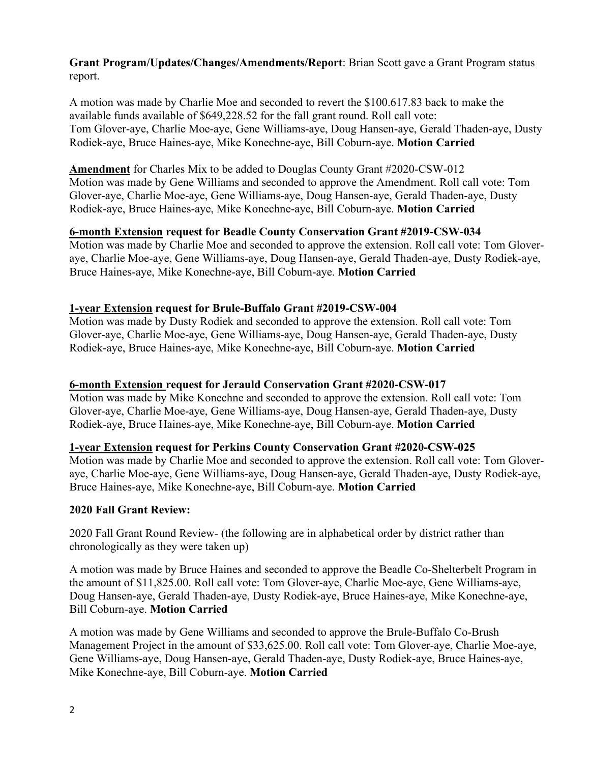**Grant Program/Updates/Changes/Amendments/Report**: Brian Scott gave a Grant Program status report.

A motion was made by Charlie Moe and seconded to revert the \$100.617.83 back to make the available funds available of \$649,228.52 for the fall grant round. Roll call vote: Tom Glover-aye, Charlie Moe-aye, Gene Williams-aye, Doug Hansen-aye, Gerald Thaden-aye, Dusty Rodiek-aye, Bruce Haines-aye, Mike Konechne-aye, Bill Coburn-aye. **Motion Carried**

### **Amendment** for Charles Mix to be added to Douglas County Grant #2020-CSW-012

Motion was made by Gene Williams and seconded to approve the Amendment. Roll call vote: Tom Glover-aye, Charlie Moe-aye, Gene Williams-aye, Doug Hansen-aye, Gerald Thaden-aye, Dusty Rodiek-aye, Bruce Haines-aye, Mike Konechne-aye, Bill Coburn-aye. **Motion Carried**

### **6-month Extension request for Beadle County Conservation Grant #2019-CSW-034**

Motion was made by Charlie Moe and seconded to approve the extension. Roll call vote: Tom Gloveraye, Charlie Moe-aye, Gene Williams-aye, Doug Hansen-aye, Gerald Thaden-aye, Dusty Rodiek-aye, Bruce Haines-aye, Mike Konechne-aye, Bill Coburn-aye. **Motion Carried**

### **1-year Extension request for Brule-Buffalo Grant #2019-CSW-004**

Motion was made by Dusty Rodiek and seconded to approve the extension. Roll call vote: Tom Glover-aye, Charlie Moe-aye, Gene Williams-aye, Doug Hansen-aye, Gerald Thaden-aye, Dusty Rodiek-aye, Bruce Haines-aye, Mike Konechne-aye, Bill Coburn-aye. **Motion Carried**

## **6-month Extension request for Jerauld Conservation Grant #2020-CSW-017**

Motion was made by Mike Konechne and seconded to approve the extension. Roll call vote: Tom Glover-aye, Charlie Moe-aye, Gene Williams-aye, Doug Hansen-aye, Gerald Thaden-aye, Dusty Rodiek-aye, Bruce Haines-aye, Mike Konechne-aye, Bill Coburn-aye. **Motion Carried**

### **1-year Extension request for Perkins County Conservation Grant #2020-CSW-025**

Motion was made by Charlie Moe and seconded to approve the extension. Roll call vote: Tom Gloveraye, Charlie Moe-aye, Gene Williams-aye, Doug Hansen-aye, Gerald Thaden-aye, Dusty Rodiek-aye, Bruce Haines-aye, Mike Konechne-aye, Bill Coburn-aye. **Motion Carried**

### **2020 Fall Grant Review:**

2020 Fall Grant Round Review- (the following are in alphabetical order by district rather than chronologically as they were taken up)

A motion was made by Bruce Haines and seconded to approve the Beadle Co-Shelterbelt Program in the amount of \$11,825.00. Roll call vote: Tom Glover-aye, Charlie Moe-aye, Gene Williams-aye, Doug Hansen-aye, Gerald Thaden-aye, Dusty Rodiek-aye, Bruce Haines-aye, Mike Konechne-aye, Bill Coburn-aye. **Motion Carried**

A motion was made by Gene Williams and seconded to approve the Brule-Buffalo Co-Brush Management Project in the amount of \$33,625.00. Roll call vote: Tom Glover-aye, Charlie Moe-aye, Gene Williams-aye, Doug Hansen-aye, Gerald Thaden-aye, Dusty Rodiek-aye, Bruce Haines-aye, Mike Konechne-aye, Bill Coburn-aye. **Motion Carried**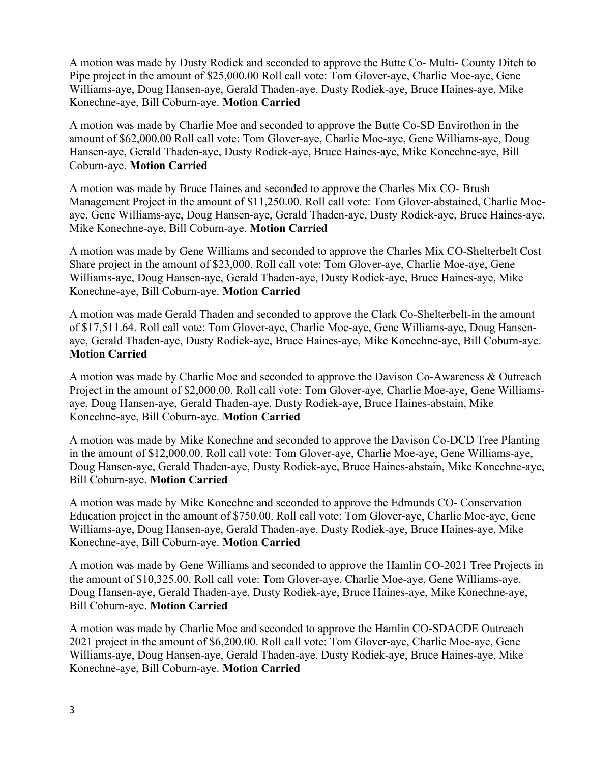A motion was made by Dusty Rodiek and seconded to approve the Butte Co- Multi- County Ditch to Pipe project in the amount of \$25,000.00 Roll call vote: Tom Glover-aye, Charlie Moe-aye, Gene Williams-aye, Doug Hansen-aye, Gerald Thaden-aye, Dusty Rodiek-aye, Bruce Haines-aye, Mike Konechne-aye, Bill Coburn-aye. **Motion Carried**

A motion was made by Charlie Moe and seconded to approve the Butte Co-SD Envirothon in the amount of \$62,000.00 Roll call vote: Tom Glover-aye, Charlie Moe-aye, Gene Williams-aye, Doug Hansen-aye, Gerald Thaden-aye, Dusty Rodiek-aye, Bruce Haines-aye, Mike Konechne-aye, Bill Coburn-aye. **Motion Carried**

A motion was made by Bruce Haines and seconded to approve the Charles Mix CO- Brush Management Project in the amount of \$11,250.00. Roll call vote: Tom Glover-abstained, Charlie Moeaye, Gene Williams-aye, Doug Hansen-aye, Gerald Thaden-aye, Dusty Rodiek-aye, Bruce Haines-aye, Mike Konechne-aye, Bill Coburn-aye. **Motion Carried**

A motion was made by Gene Williams and seconded to approve the Charles Mix CO-Shelterbelt Cost Share project in the amount of \$23,000. Roll call vote: Tom Glover-aye, Charlie Moe-aye, Gene Williams-aye, Doug Hansen-aye, Gerald Thaden-aye, Dusty Rodiek-aye, Bruce Haines-aye, Mike Konechne-aye, Bill Coburn-aye. **Motion Carried**

A motion was made Gerald Thaden and seconded to approve the Clark Co-Shelterbelt-in the amount of \$17,511.64. Roll call vote: Tom Glover-aye, Charlie Moe-aye, Gene Williams-aye, Doug Hansenaye, Gerald Thaden-aye, Dusty Rodiek-aye, Bruce Haines-aye, Mike Konechne-aye, Bill Coburn-aye. **Motion Carried**

A motion was made by Charlie Moe and seconded to approve the Davison Co-Awareness & Outreach Project in the amount of \$2,000.00. Roll call vote: Tom Glover-aye, Charlie Moe-aye, Gene Williamsaye, Doug Hansen-aye, Gerald Thaden-aye, Dusty Rodiek-aye, Bruce Haines-abstain, Mike Konechne-aye, Bill Coburn-aye. **Motion Carried**

A motion was made by Mike Konechne and seconded to approve the Davison Co-DCD Tree Planting in the amount of \$12,000.00. Roll call vote: Tom Glover-aye, Charlie Moe-aye, Gene Williams-aye, Doug Hansen-aye, Gerald Thaden-aye, Dusty Rodiek-aye, Bruce Haines-abstain, Mike Konechne-aye, Bill Coburn-aye. **Motion Carried**

A motion was made by Mike Konechne and seconded to approve the Edmunds CO- Conservation Education project in the amount of \$750.00. Roll call vote: Tom Glover-aye, Charlie Moe-aye, Gene Williams-aye, Doug Hansen-aye, Gerald Thaden-aye, Dusty Rodiek-aye, Bruce Haines-aye, Mike Konechne-aye, Bill Coburn-aye. **Motion Carried**

A motion was made by Gene Williams and seconded to approve the Hamlin CO-2021 Tree Projects in the amount of \$10,325.00. Roll call vote: Tom Glover-aye, Charlie Moe-aye, Gene Williams-aye, Doug Hansen-aye, Gerald Thaden-aye, Dusty Rodiek-aye, Bruce Haines-aye, Mike Konechne-aye, Bill Coburn-aye. **Motion Carried**

A motion was made by Charlie Moe and seconded to approve the Hamlin CO-SDACDE Outreach 2021 project in the amount of \$6,200.00. Roll call vote: Tom Glover-aye, Charlie Moe-aye, Gene Williams-aye, Doug Hansen-aye, Gerald Thaden-aye, Dusty Rodiek-aye, Bruce Haines-aye, Mike Konechne-aye, Bill Coburn-aye. **Motion Carried**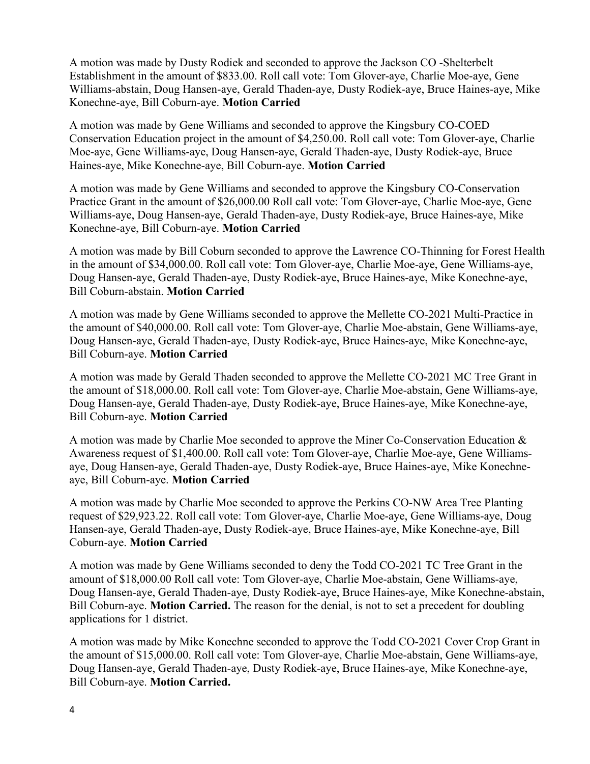A motion was made by Dusty Rodiek and seconded to approve the Jackson CO -Shelterbelt Establishment in the amount of \$833.00. Roll call vote: Tom Glover-aye, Charlie Moe-aye, Gene Williams-abstain, Doug Hansen-aye, Gerald Thaden-aye, Dusty Rodiek-aye, Bruce Haines-aye, Mike Konechne-aye, Bill Coburn-aye. **Motion Carried**

A motion was made by Gene Williams and seconded to approve the Kingsbury CO-COED Conservation Education project in the amount of \$4,250.00. Roll call vote: Tom Glover-aye, Charlie Moe-aye, Gene Williams-aye, Doug Hansen-aye, Gerald Thaden-aye, Dusty Rodiek-aye, Bruce Haines-aye, Mike Konechne-aye, Bill Coburn-aye. **Motion Carried**

A motion was made by Gene Williams and seconded to approve the Kingsbury CO-Conservation Practice Grant in the amount of \$26,000.00 Roll call vote: Tom Glover-aye, Charlie Moe-aye, Gene Williams-aye, Doug Hansen-aye, Gerald Thaden-aye, Dusty Rodiek-aye, Bruce Haines-aye, Mike Konechne-aye, Bill Coburn-aye. **Motion Carried**

A motion was made by Bill Coburn seconded to approve the Lawrence CO-Thinning for Forest Health in the amount of \$34,000.00. Roll call vote: Tom Glover-aye, Charlie Moe-aye, Gene Williams-aye, Doug Hansen-aye, Gerald Thaden-aye, Dusty Rodiek-aye, Bruce Haines-aye, Mike Konechne-aye, Bill Coburn-abstain. **Motion Carried**

A motion was made by Gene Williams seconded to approve the Mellette CO-2021 Multi-Practice in the amount of \$40,000.00. Roll call vote: Tom Glover-aye, Charlie Moe-abstain, Gene Williams-aye, Doug Hansen-aye, Gerald Thaden-aye, Dusty Rodiek-aye, Bruce Haines-aye, Mike Konechne-aye, Bill Coburn-aye. **Motion Carried**

A motion was made by Gerald Thaden seconded to approve the Mellette CO-2021 MC Tree Grant in the amount of \$18,000.00. Roll call vote: Tom Glover-aye, Charlie Moe-abstain, Gene Williams-aye, Doug Hansen-aye, Gerald Thaden-aye, Dusty Rodiek-aye, Bruce Haines-aye, Mike Konechne-aye, Bill Coburn-aye. **Motion Carried**

A motion was made by Charlie Moe seconded to approve the Miner Co-Conservation Education & Awareness request of \$1,400.00. Roll call vote: Tom Glover-aye, Charlie Moe-aye, Gene Williamsaye, Doug Hansen-aye, Gerald Thaden-aye, Dusty Rodiek-aye, Bruce Haines-aye, Mike Konechneaye, Bill Coburn-aye. **Motion Carried**

A motion was made by Charlie Moe seconded to approve the Perkins CO-NW Area Tree Planting request of \$29,923.22. Roll call vote: Tom Glover-aye, Charlie Moe-aye, Gene Williams-aye, Doug Hansen-aye, Gerald Thaden-aye, Dusty Rodiek-aye, Bruce Haines-aye, Mike Konechne-aye, Bill Coburn-aye. **Motion Carried**

A motion was made by Gene Williams seconded to deny the Todd CO-2021 TC Tree Grant in the amount of \$18,000.00 Roll call vote: Tom Glover-aye, Charlie Moe-abstain, Gene Williams-aye, Doug Hansen-aye, Gerald Thaden-aye, Dusty Rodiek-aye, Bruce Haines-aye, Mike Konechne-abstain, Bill Coburn-aye. **Motion Carried.** The reason for the denial, is not to set a precedent for doubling applications for 1 district.

A motion was made by Mike Konechne seconded to approve the Todd CO-2021 Cover Crop Grant in the amount of \$15,000.00. Roll call vote: Tom Glover-aye, Charlie Moe-abstain, Gene Williams-aye, Doug Hansen-aye, Gerald Thaden-aye, Dusty Rodiek-aye, Bruce Haines-aye, Mike Konechne-aye, Bill Coburn-aye. **Motion Carried.**